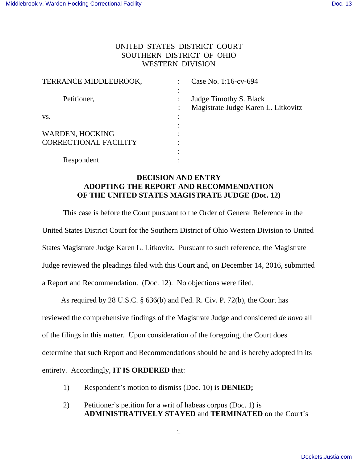## UNITED STATES DISTRICT COURT SOUTHERN DISTRICT OF OHIO WESTERN DIVISION

| TERRANCE MIDDLEBROOK,        | Case No. 1:16-cv-694                |
|------------------------------|-------------------------------------|
|                              |                                     |
| Petitioner,                  | Judge Timothy S. Black              |
|                              | Magistrate Judge Karen L. Litkovitz |
| VS.                          |                                     |
|                              |                                     |
| <b>WARDEN, HOCKING</b>       |                                     |
| <b>CORRECTIONAL FACILITY</b> |                                     |
|                              |                                     |
| Respondent.                  |                                     |

## **DECISION AND ENTRY ADOPTING THE REPORT AND RECOMMENDATION OF THE UNITED STATES MAGISTRATE JUDGE (Doc. 12)**

This case is before the Court pursuant to the Order of General Reference in the United States District Court for the Southern District of Ohio Western Division to United States Magistrate Judge Karen L. Litkovitz. Pursuant to such reference, the Magistrate Judge reviewed the pleadings filed with this Court and, on December 14, 2016, submitted a Report and Recommendation. (Doc. 12). No objections were filed.

 As required by 28 U.S.C. § 636(b) and Fed. R. Civ. P. 72(b), the Court has reviewed the comprehensive findings of the Magistrate Judge and considered *de novo* all of the filings in this matter. Upon consideration of the foregoing, the Court does determine that such Report and Recommendations should be and is hereby adopted in its entirety. Accordingly, **IT IS ORDERED** that:

- 1) Respondent's motion to dismiss (Doc. 10) is **DENIED;**
- 2) Petitioner's petition for a writ of habeas corpus (Doc. 1) is **ADMINISTRATIVELY STAYED** and **TERMINATED** on the Court's